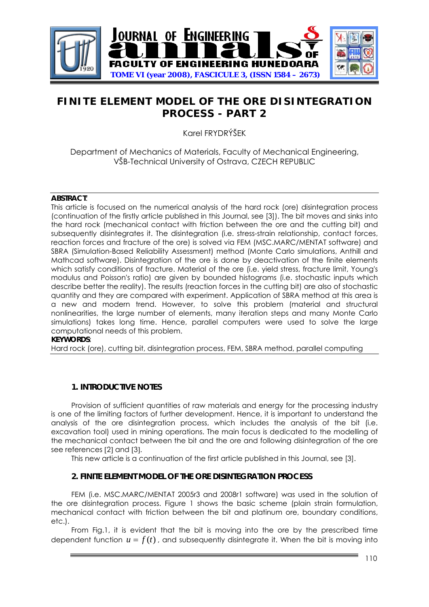

# **FINITE ELEMENT MODEL OF THE ORE DISINTEGRATION PROCESS - PART 2**

Karel FRYDRÝŠEK

Department of Mechanics of Materials, Faculty of Mechanical Engineering, VŠB-Technical University of Ostrava, CZECH REPUBLIC

#### **ABSTRACT**:

This article is focused on the numerical analysis of the hard rock (ore) disintegration process (continuation of the firstly article published in this Journal, see [3]). The bit moves and sinks into the hard rock (mechanical contact with friction between the ore and the cutting bit) and subsequently disintegrates it. The disintegration (i.e. stress-strain relationship, contact forces, reaction forces and fracture of the ore) is solved via FEM (MSC.MARC/MENTAT software) and SBRA (Simulation-Based Reliability Assessment) method (Monte Carlo simulations, Anthill and Mathcad software). Disintegration of the ore is done by deactivation of the finite elements which satisfy conditions of fracture. Material of the ore (i.e. yield stress, fracture limit, Young's modulus and Poisson's ratio) are given by bounded histograms (i.e. stochastic inputs which describe better the reality). The results (reaction forces in the cutting bit) are also of stochastic quantity and they are compared with experiment. Application of SBRA method at this area is a new and modern trend. However, to solve this problem (material and structural nonlinearities, the large number of elements, many iteration steps and many Monte Carlo simulations) takes long time. Hence, parallel computers were used to solve the large computational needs of this problem.

#### **KEYWORDS**:

Hard rock (ore), cutting bit, disintegration process, FEM, SBRA method, parallel computing

# **1. INTRODUCTIVE NOTES**

Provision of sufficient quantities of raw materials and energy for the processing industry is one of the limiting factors of further development. Hence, it is important to understand the analysis of the ore disintegration process, which includes the analysis of the bit (i.e. excavation tool) used in mining operations. The main focus is dedicated to the modelling of the mechanical contact between the bit and the ore and following disintegration of the ore see references [2] and [3].

This new article is a continuation of the first article published in this Journal, see [3].

# **2. FINITE ELEMENT MODEL OF THE ORE DISINTEGRATION PROCESS**

FEM (i.e. MSC.MARC/MENTAT 2005r3 and 2008r1 software) was used in the solution of the ore disintegration process. Figure 1 shows the basic scheme (plain strain formulation, mechanical contact with friction between the bit and platinum ore, boundary conditions, etc.).

From Fig.1, it is evident that the bit is moving into the ore by the prescribed time dependent function  $u = f(t)$ , and subsequently disintegrate it. When the bit is moving into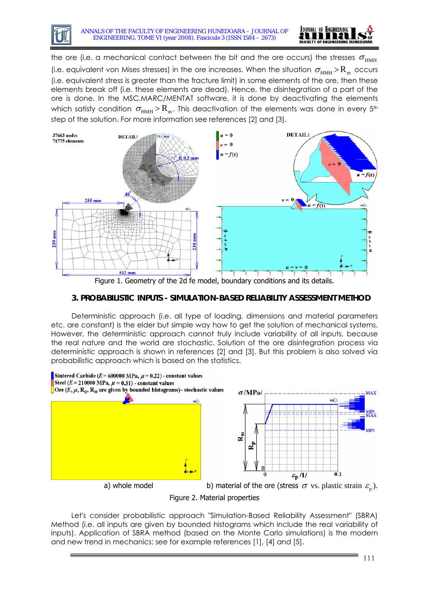



the ore (i.e. a mechanical contact between the bit and the ore occurs) the stresses  $\sigma_{\text{HMH}}$ (i.e. equivalent von Mises stresses) in the ore increases. When the situation  $\sigma_{HMH}$  >  $R_m$  occurs (i.e. equivalent stress is greater than the fracture limit) in some elements of the ore, then these elements break off (i.e. these elements are dead). Hence, the disintegration of a part of the ore is done. In the MSC.MARC/MENTAT software, it is done by deactivating the elements which satisfy condition  $\sigma_{HMH} > R_m$ . This deactivation of the elements was done in every 5<sup>th</sup> step of the solution. For more information see references [2] and [3].



Figure 1. Geometry of the 2d fe model, boundary conditions and its details.

# **3. PROBABILISTIC INPUTS - SIMULATION-BASED RELIABILITY ASSESSMENT METHOD**

Deterministic approach (i.e. all type of loading, dimensions and material parameters etc. are constant) is the elder but simple way how to get the solution of mechanical systems. However, the deterministic approach cannot truly include variability of all inputs, because the real nature and the world are stochastic. Solution of the ore disintegration process via deterministic approach is shown in references [2] and [3]. But this problem is also solved via probabilistic approach which is based on the statistics.



Let's consider probabilistic approach "Simulation-Based Reliability Assessment" (SBRA) Method (i.e. all inputs are given by bounded histograms which include the real variability of inputs). Application of SBRA method (based on the Monte Carlo simulations) is the modern and new trend in mechanics; see for example references [1], [4] and [5].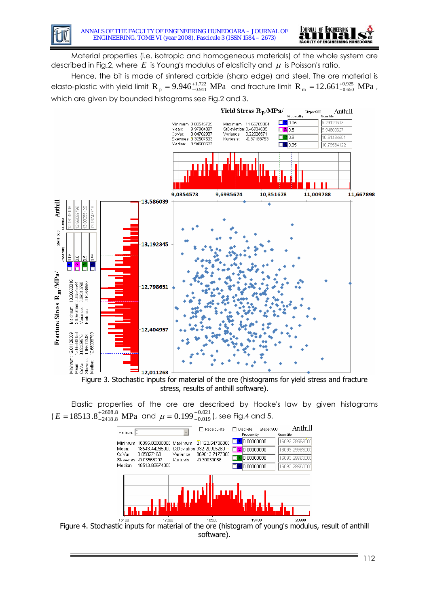

Material properties (i.e. isotropic and homogeneous materials) of the whole system are described in Fig.2, where  $E$  is Young's modulus of elasticity and  $\mu$  is Poisson's ratio.

Hence, the bit is made of sintered carbide (sharp edge) and steel. The ore material is elasto-plastic with yield limit  $R_p = 9.946^{+1.722}_{-0.911}$  MPa and fracture limit  $R_m = 12.661^{+0.925}_{-0.650}$  MPa , which are given by bounded histograms see Fig.2 and 3.





Elastic properties of the ore are described by Hooke's law by given histograms  $(E = 18513.8^{+2608.8}_{-2418.8}$  MPa and  $\mu = 0.199^{+0.021}_{-0.019}$ ), see Fig.4 and 5.



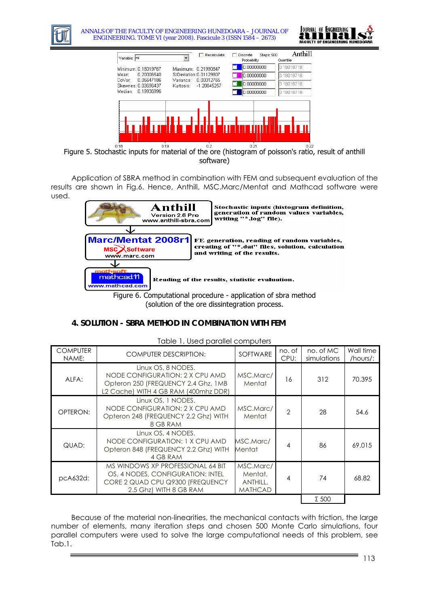

ANNALS OF THE FACULTY OF ENGINEERING HUNEDOARA – JOURNAL OF ENGINEERING. TOME VI (year 2008). Fascicule 3 (ISSN 1584 – 2673)





Figure 5. Stochastic inputs for material of the ore (histogram of poisson's ratio, result of anthill software)

Application of SBRA method in combination with FEM and subsequent evaluation of the results are shown in Fig.6. Hence, Anthill, MSC.Marc/Mentat and Mathcad software were used.



(solution of the ore dissintegration process.

# **4. SOLUTION - SBRA METHOD IN COMBINATION WITH FEM**

| TUDIE T. USEU DUIUIIEI COITIDUIEIS |                                                                                                                                      |                                                           |                |                          |                       |
|------------------------------------|--------------------------------------------------------------------------------------------------------------------------------------|-----------------------------------------------------------|----------------|--------------------------|-----------------------|
| <b>COMPUTER</b><br>NAME:           | <b>COMPUTER DESCRIPTION:</b>                                                                                                         | SOFTWARE                                                  | no. of<br>CPU: | no. of MC<br>simulations | Wall time<br>/hours/: |
| ALFA:                              | Linux OS, 8 NODES.<br>NODE CONFIGURATION: 2 X CPU AMD<br>Opteron 250 (FREQUENCY 2.4 Ghz, 1MB<br>L2 Cache) WITH 4 GB RAM (400mhz DDR) | MSC.Marc/<br>Mentat                                       | 16             | 312                      | 70.395                |
| OPTERON:                           | Linux OS, 1 NODES.<br>NODE CONFIGURATION: 2 X CPU AMD<br>Opteron 248 (FREQUENCY 2.2 Ghz) WITH<br>8 GB RAM                            | MSC.Marc/<br>Mentat                                       | $\overline{2}$ | 28                       | 54.6                  |
| QUAD:                              | Linux OS, 4 NODES.<br>NODE CONFIGURATION: 1 X CPU AMD<br>Opteron 848 (FREQUENCY 2.2 Ghz) WITH<br>4 GB RAM                            | MSC.Marc/<br>Mentat                                       | 4              | 86                       | 69.015                |
| pcA632d:                           | MS WINDOWS XP PROFESSIONAL 64 BIT<br>OS, 4 NODES, CONFIGURATION: INTEL<br>CORE 2 QUAD CPU Q9300 (FREQUENCY<br>2.5 Ghz) WITH 8 GB RAM | MSC.Marc/<br>Mentat,<br><b>ANTHILL,</b><br><b>MATHCAD</b> | 4              | 74                       | 68.82                 |
|                                    |                                                                                                                                      |                                                           |                | $\Sigma$ 500             |                       |

Table 1. Used parallel computers

Because of the material non-linearities, the mechanical contacts with friction, the large number of elements, many iteration steps and chosen 500 Monte Carlo simulations, four parallel computers were used to solve the large computational needs of this problem, see Tab.1.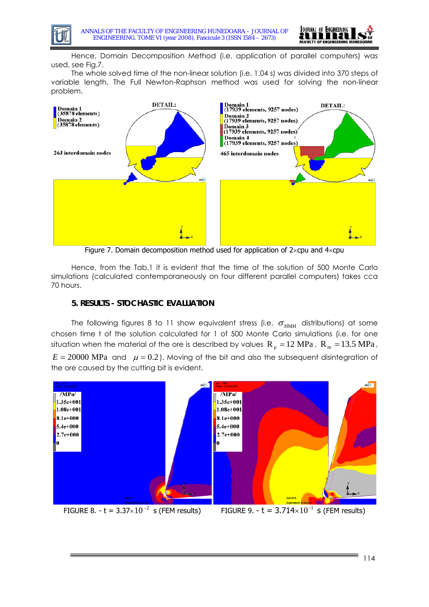

Hence, Domain Decomposition Method (i.e. application of parallel computers) was used, see Fig.7.

The whole solved time of the non-linear solution (i.e. 1.04 s) was divided into 370 steps of variable length. The Full Newton-Raphson method was used for solving the non-linear problem.



Figure 7. Domain decomposition method used for application of  $2 \times$ cpu and  $4 \times$ cpu

Hence, from the Tab.1 it is evident that the time of the solution of 500 Monte Carlo simulations (calculated contemporaneously on four different parallel computers) takes cca 70 hours.

### **5. RESULTS - STOCHASTIC EVALUATION**

The following figures 8 to 11 show equivalent stress (i.e.  $\sigma_{HMH}$  distributions) at some chosen time t of the solution calculated for 1 of 500 Monte Carlo simulations (i.e. for one situation when the material of the ore is described by values  $R_p = 12 \text{ MPa}$  ,  $R_m = 13.5 \text{ MPa}$  ,

 $E = 20000$  MPa and  $\mu = 0.2$ ). Moving of the bit and also the subsequent disintegration of the ore caused by the cutting bit is evident.

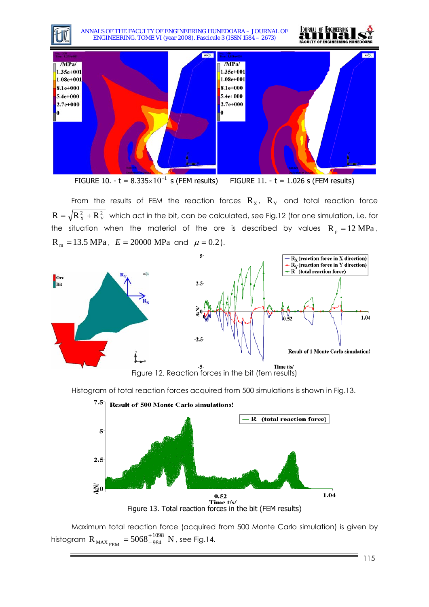ANNALS OF THE FACULTY OF ENGINEERING HUNEDOARA – JOURNAL OF ENGINEERING. TOME VI (year 2008). Fascicule 3 (ISSN 1584 – 2673)





FIGURE 10. - t =  $8.335 \times 10^{-1}$  s (FEM results) FIGURE 11. - t = 1.026 s (FEM results)

From the results of FEM the reaction forces  $R_X$ ,  $R_Y$  and total reaction force 2 Y  $R=\sqrt{R_{X}^{\,2}+R_{Y}^{\,2}}\;$  which act in the bit, can be calculated, see Fig.12 (for one simulation, i.e. for the situation when the material of the ore is described by values  $R_p = 12 \text{ MPa}$ ,  $R_m = 13.5 \text{ MPa}$ ,  $E = 20000 \text{ MPa}$  and  $\mu = 0.2$ ).



Histogram of total reaction forces acquired from 500 simulations is shown in Fig.13.



Maximum total reaction force (acquired from 500 Monte Carlo simulation) is given by histogram  $R_{MAX_{FEM}} = 5068^{+1098}_{-984}$  N , see Fig.14.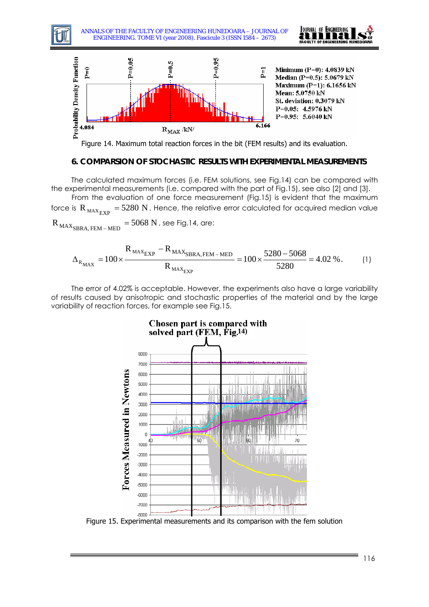

Figure 14. Maximum total reaction forces in the bit (FEM results) and its evaluation.

#### **6. COMPARSION OF STOCHASTIC RESULTS WITH EXPERIMENTAL MEASUREMENTS**

The calculated maximum forces (i.e. FEM solutions, see Fig.14) can be compared with the experimental measurements (i.e. compared with the part of Fig.15), see also [2] and [3].

From the evaluation of one force measurement (Fig.15) is evident that the maximum force is  $\rm R_{\rm \,MAX_{\rm EXP}}$  = 5280  $\rm N$  . Hence, the relative error calculated for acquired median value

 $R_{MAX_{SBRA, FEM-MED}} = 5068 \text{ N}$ , see Fig.14, are:

$$
\Delta_{R_{MAX}} = 100 \times \frac{R_{MAX_{EXP}} - R_{MAX_{SBRA, FEM-MED}}}{R_{MAX_{EXP}}} = 100 \times \frac{5280 - 5068}{5280} = 4.02 \%.
$$
 (1)

The error of 4.02% is acceptable. However, the experiments also have a large variability of results caused by anisotropic and stochastic properties of the material and by the large variability of reaction forces, for example see Fig.15.



Figure 15. Experimental measurements and its comparison with the fem solution